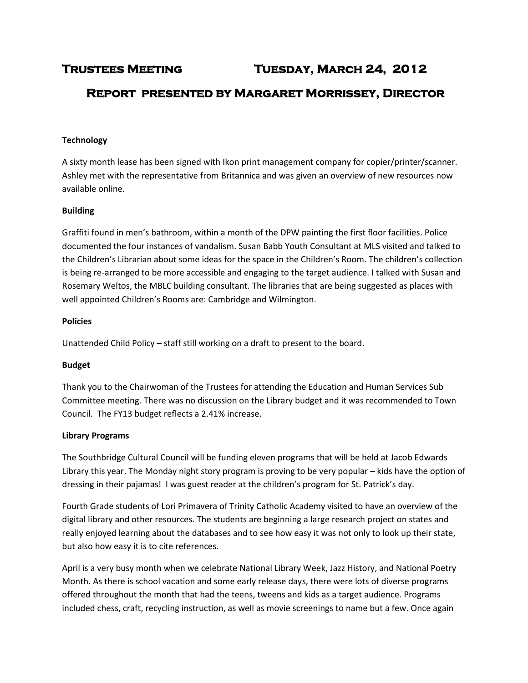# **Trustees Meeting Tuesday, March 24, 2012**

## **Report presented by Margaret Morrissey, Director**

#### **Technology**

A sixty month lease has been signed with Ikon print management company for copier/printer/scanner. Ashley met with the representative from Britannica and was given an overview of new resources now available online.

#### **Building**

Graffiti found in men's bathroom, within a month of the DPW painting the first floor facilities. Police documented the four instances of vandalism. Susan Babb Youth Consultant at MLS visited and talked to the Children's Librarian about some ideas for the space in the Children's Room. The children's collection is being re-arranged to be more accessible and engaging to the target audience. I talked with Susan and Rosemary Weltos, the MBLC building consultant. The libraries that are being suggested as places with well appointed Children's Rooms are: Cambridge and Wilmington.

#### **Policies**

Unattended Child Policy – staff still working on a draft to present to the board.

#### **Budget**

Thank you to the Chairwoman of the Trustees for attending the Education and Human Services Sub Committee meeting. There was no discussion on the Library budget and it was recommended to Town Council. The FY13 budget reflects a 2.41% increase.

#### **Library Programs**

The Southbridge Cultural Council will be funding eleven programs that will be held at Jacob Edwards Library this year. The Monday night story program is proving to be very popular – kids have the option of dressing in their pajamas! I was guest reader at the children's program for St. Patrick's day.

Fourth Grade students of Lori Primavera of Trinity Catholic Academy visited to have an overview of the digital library and other resources. The students are beginning a large research project on states and really enjoyed learning about the databases and to see how easy it was not only to look up their state, but also how easy it is to cite references.

April is a very busy month when we celebrate National Library Week, Jazz History, and National Poetry Month. As there is school vacation and some early release days, there were lots of diverse programs offered throughout the month that had the teens, tweens and kids as a target audience. Programs included chess, craft, recycling instruction, as well as movie screenings to name but a few. Once again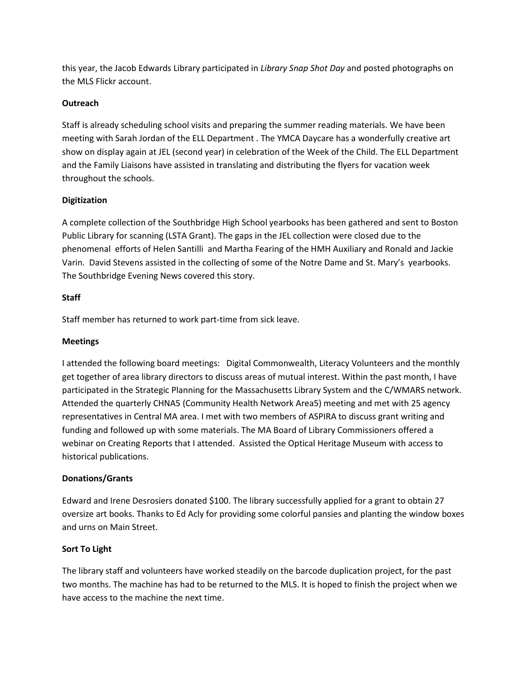this year, the Jacob Edwards Library participated in *Library Snap Shot Day* and posted photographs on the MLS Flickr account.

## **Outreach**

Staff is already scheduling school visits and preparing the summer reading materials. We have been meeting with Sarah Jordan of the ELL Department . The YMCA Daycare has a wonderfully creative art show on display again at JEL (second year) in celebration of the Week of the Child. The ELL Department and the Family Liaisons have assisted in translating and distributing the flyers for vacation week throughout the schools.

## **Digitization**

A complete collection of the Southbridge High School yearbooks has been gathered and sent to Boston Public Library for scanning (LSTA Grant). The gaps in the JEL collection were closed due to the phenomenal efforts of Helen Santilli and Martha Fearing of the HMH Auxiliary and Ronald and Jackie Varin. David Stevens assisted in the collecting of some of the Notre Dame and St. Mary's yearbooks. The Southbridge Evening News covered this story.

## **Staff**

Staff member has returned to work part-time from sick leave.

## **Meetings**

I attended the following board meetings: Digital Commonwealth, Literacy Volunteers and the monthly get together of area library directors to discuss areas of mutual interest. Within the past month, I have participated in the Strategic Planning for the Massachusetts Library System and the C/WMARS network. Attended the quarterly CHNA5 (Community Health Network Area5) meeting and met with 25 agency representatives in Central MA area. I met with two members of ASPIRA to discuss grant writing and funding and followed up with some materials. The MA Board of Library Commissioners offered a webinar on Creating Reports that I attended. Assisted the Optical Heritage Museum with access to historical publications.

#### **Donations/Grants**

Edward and Irene Desrosiers donated \$100. The library successfully applied for a grant to obtain 27 oversize art books. Thanks to Ed Acly for providing some colorful pansies and planting the window boxes and urns on Main Street.

#### **Sort To Light**

The library staff and volunteers have worked steadily on the barcode duplication project, for the past two months. The machine has had to be returned to the MLS. It is hoped to finish the project when we have access to the machine the next time.